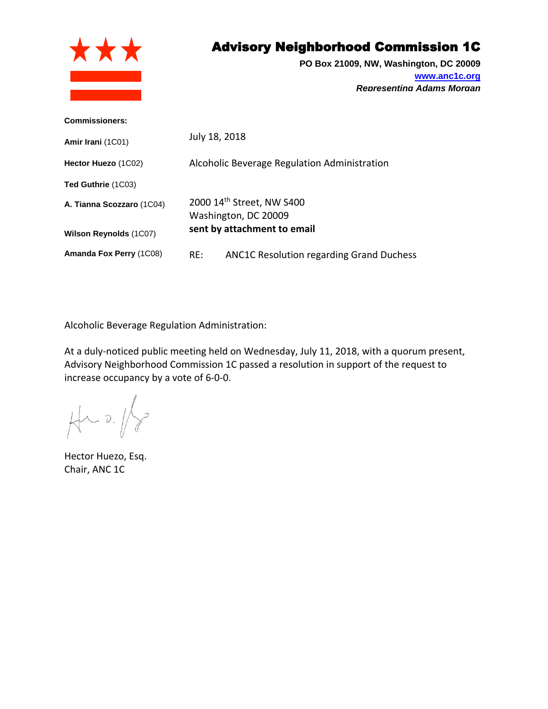

## Advisory Neighborhood Commission 1C

**PO Box 21009, NW, Washington, DC 20009 [www.anc1c.org](http://www.anc1c.org/)** *Representing Adams Morgan*

| <b>Commissioners:</b>         |                                                        |
|-------------------------------|--------------------------------------------------------|
| Amir Irani (1C01)             | July 18, 2018                                          |
| Hector Huezo (1C02)           | Alcoholic Beverage Regulation Administration           |
| Ted Guthrie (1C03)            |                                                        |
| A. Tianna Scozzaro (1C04)     | 2000 14th Street, NW S400<br>Washington, DC 20009      |
| <b>Wilson Reynolds (1C07)</b> | sent by attachment to email                            |
| Amanda Fox Perry (1C08)       | <b>ANC1C Resolution regarding Grand Duchess</b><br>RE: |

Alcoholic Beverage Regulation Administration:

At a duly-noticed public meeting held on Wednesday, July 11, 2018, with a quorum present, Advisory Neighborhood Commission 1C passed a resolution in support of the request to increase occupancy by a vote of 6-0-0.

 $\searrow$  $\forall$  2/

Hector Huezo, Esq. Chair, ANC 1C